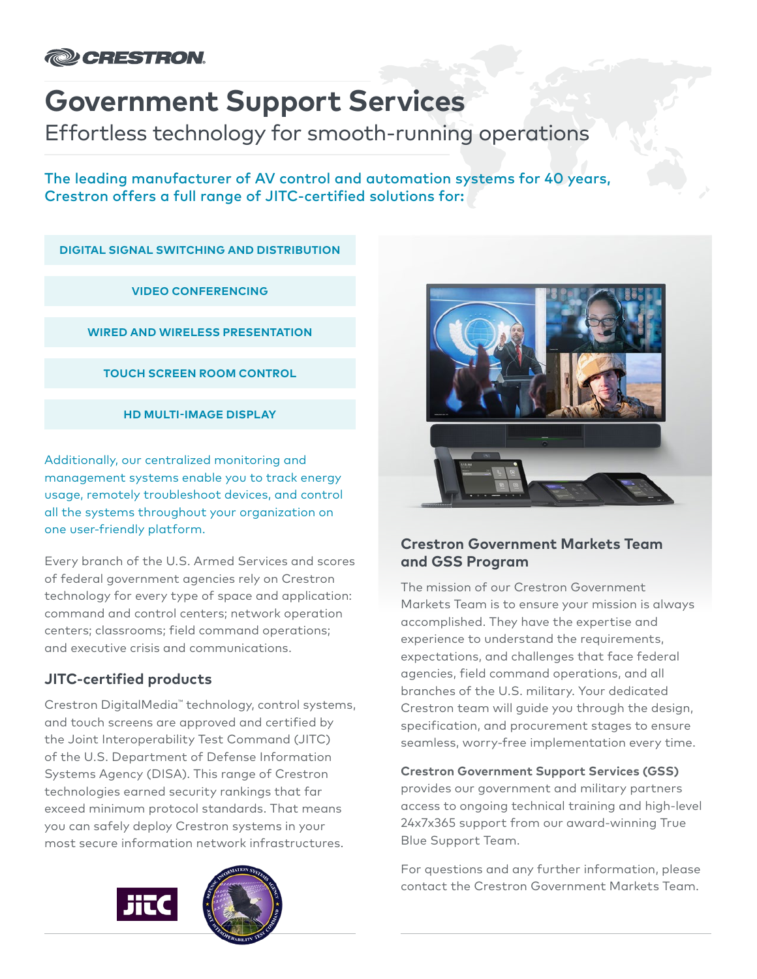

# **Government Support Services**

Effortless technology for smooth-running operations

The leading manufacturer of AV control and automation systems for 40 years, Crestron offers a full range of JITC-certified solutions for:

**DIGITAL SIGNAL SWITCHING AND DISTRIBUTION**

**VIDEO CONFERENCING**

**WIRED AND WIRELESS PRESENTATION**

**TOUCH SCREEN ROOM CONTROL**

**HD MULTI-IMAGE DISPLAY**

Additionally, our centralized monitoring and management systems enable you to track energy usage, remotely troubleshoot devices, and control all the systems throughout your organization on one user-friendly platform.

Every branch of the U.S. Armed Services and scores of federal government agencies rely on Crestron technology for every type of space and application: command and control centers; network operation centers; classrooms; field command operations; and executive crisis and communications.

# **JITC-certified products**

Crestron DigitalMedia™ technology, control systems, and touch screens are approved and certified by the Joint Interoperability Test Command (JITC) of the U.S. Department of Defense Information Systems Agency (DISA). This range of Crestron technologies earned security rankings that far exceed minimum protocol standards. That means you can safely deploy Crestron systems in your most secure information network infrastructures.





### **Crestron Government Markets Team and GSS Program**

The mission of our Crestron Government Markets Team is to ensure your mission is always accomplished. They have the expertise and experience to understand the requirements, expectations, and challenges that face federal agencies, field command operations, and all branches of the U.S. military. Your dedicated Crestron team will guide you through the design, specification, and procurement stages to ensure seamless, worry-free implementation every time.

**Crestron Government Support Services (GSS)**

provides our government and military partners access to ongoing technical training and high-level 24x7x365 support from our award-winning True Blue Support Team.

For questions and any further information, please contact the Crestron Government Markets Team.